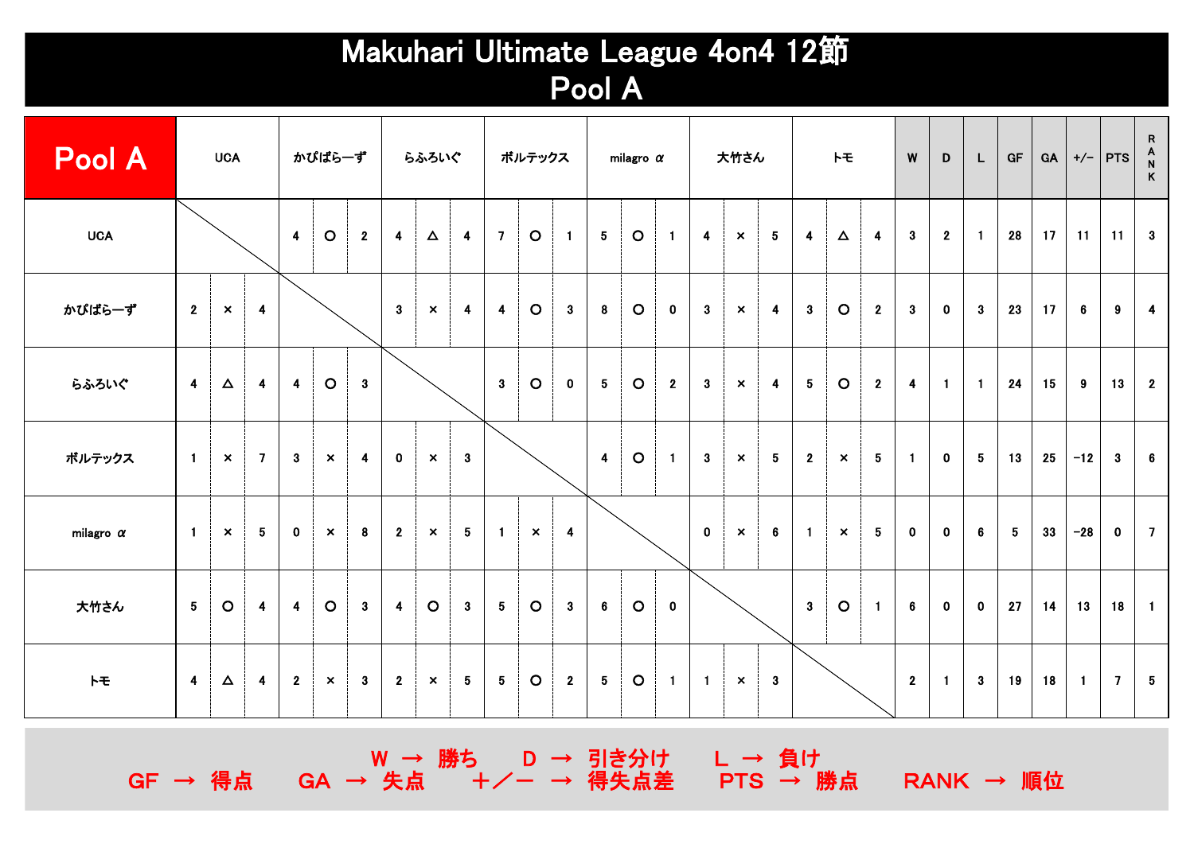## Makuhari Ultimate League 4on4 12節 Pool A

| Pool A           |                         | <b>UCA</b>                |                         |                         | かぴばら一ず                    |                         |                         | らふろいぐ                     |                         |                         | ボルテックス                    |                         |                 | milagro $\alpha$ |                |                         | 大竹さん                      |                         |                         | H                         |                         | W                       | D              | L               | GF          | GA |                 | $+/-$   PTS    | $\begin{array}{c}\nR \\ A \\ N\n\end{array}$<br>$\,$ K |
|------------------|-------------------------|---------------------------|-------------------------|-------------------------|---------------------------|-------------------------|-------------------------|---------------------------|-------------------------|-------------------------|---------------------------|-------------------------|-----------------|------------------|----------------|-------------------------|---------------------------|-------------------------|-------------------------|---------------------------|-------------------------|-------------------------|----------------|-----------------|-------------|----|-----------------|----------------|--------------------------------------------------------|
| <b>UCA</b>       |                         |                           |                         | $\overline{\mathbf{4}}$ | $\circ$                   | 2 <sup>1</sup>          | $\overline{\mathbf{4}}$ | $\Delta$                  | $\overline{4}$          | $\overline{7}$          | $\circ$                   | $\blacksquare$          | $5\phantom{.0}$ | $\circ$          | $\overline{1}$ | $\overline{\mathbf{4}}$ | $\boldsymbol{\mathsf{x}}$ | $5\phantom{.0}$         | $\overline{\mathbf{4}}$ | $\Delta$                  | $\overline{\mathbf{4}}$ | 3 <sup>1</sup>          | $\overline{2}$ | $\blacksquare$  | 28          | 17 | 11              | 11             | $\overline{\mathbf{3}}$                                |
| かぴぱら一ず           | $2^{\circ}$             | $\boldsymbol{\mathsf{x}}$ | $\overline{\mathbf{4}}$ |                         |                           |                         | 3                       | $\boldsymbol{\mathsf{x}}$ | $\overline{\mathbf{4}}$ | $\overline{\mathbf{4}}$ | $\circ$                   | 3 <sup>1</sup>          | 8               | $\circ$          | $\mathbf 0$    | $\boldsymbol{3}$        | $\mathsf{x}$              | $\overline{\mathbf{4}}$ | $\mathbf{3}$            | $\circ$                   | $\mathbf{2}$            | 3                       | $\mathbf 0$    | $\mathbf{3}$    | 23          | 17 | $6\phantom{.}6$ | 9              | $\overline{\mathbf{4}}$                                |
| らふろいぐ            | $\overline{4}$          | $\Delta$                  | $\overline{\mathbf{4}}$ | $\blacktriangleleft$    | $\circ$                   | $\mathbf{3}$            |                         |                           |                         | $\mathbf{3}$            | $\circ$                   | $\mathbf 0$             | 5               | $\circ$          | $\mathbf{2}$   | $\mathbf{3}$            | $\boldsymbol{\mathsf{x}}$ | $\overline{\mathbf{4}}$ | $5\phantom{.0}$         | $\circ$                   | $\overline{2}$          | $\overline{\mathbf{4}}$ | $\blacksquare$ | $\blacksquare$  | 24          | 15 | 9               | 13             | $\overline{\mathbf{2}}$                                |
| ボルテックス           | $\mathbf{1}$            | $\boldsymbol{\mathsf{x}}$ | $\overline{7}$          | $\mathbf{3}$            | $\mathsf{x}$              | $\overline{\mathbf{4}}$ | $\mathbf 0$             | $\mathsf{x}$              | 3 <sup>1</sup>          |                         |                           |                         | $\overline{4}$  | $\circ$          | $\overline{1}$ | $\boldsymbol{3}$        | $\boldsymbol{\mathsf{x}}$ | 5 <sub>5</sub>          | $2^{\circ}$             | $\boldsymbol{\mathsf{x}}$ | $5\phantom{.0}$         | $\blacksquare$          | $\mathbf 0$    | $5\phantom{.0}$ | 13          | 25 | $-12$           | $\mathbf{3}$   | $6\phantom{.}$                                         |
| milagro $\alpha$ | $\blacksquare$          | $\boldsymbol{\times}$     | 5 <sub>5</sub>          | $\mathbf 0$             | $\boldsymbol{\mathsf{x}}$ | 8                       | $2^{\circ}$             | $\boldsymbol{\times}$     | $5 -$                   | $\blacksquare$          | $\boldsymbol{\mathsf{x}}$ | $\overline{\mathbf{4}}$ |                 |                  |                | $\mathbf{0}$            | $\boldsymbol{\times}$     | 6                       | $\mathbf{1}$            | $\boldsymbol{\mathsf{x}}$ | 5                       | $\mathbf 0$             | $\mathbf 0$    | 6               | $5^{\circ}$ | 33 | $-28$           | $\mathbf{0}$   | $\overline{7}$                                         |
| 大竹さん             | $5 -$                   | $\circ$                   | $\overline{\mathbf{4}}$ | $\overline{\mathbf{4}}$ | $\circ$                   | 3 <sup>1</sup>          | $\overline{\mathbf{4}}$ | $\circ$                   | $\mathbf{3}$            | $5\phantom{.0}$         | $\circ$                   | $\mathbf{3}$            | $6\phantom{.}$  | $\circ$          | $\mathbf 0$    |                         |                           |                         | $\overline{\mathbf{3}}$ | $\circ$                   | $\blacksquare$          | $6\phantom{.}$          | $\mathbf 0$    | $\mathbf{0}$    | 27          | 14 | 13              | 18             | $\blacksquare$                                         |
| $H^+$            | $\overline{\mathbf{4}}$ | $\Delta$                  | $\overline{\mathbf{4}}$ | $\mathbf{2}$            | $\mathsf{x}$              | 3 <sup>1</sup>          | $2^{\circ}$             | $\mathsf{x}$              | 5 <sup>5</sup>          | $5\phantom{.0}$         | $\circ$                   | $\mathbf{2}$            | $5\phantom{.0}$ | $\circ$          | $\overline{1}$ | $\blacksquare$          | $\boldsymbol{\mathsf{x}}$ | $\mathbf{3}$            |                         |                           |                         | $2^{\circ}$             | $\overline{1}$ | $\mathbf{3}$    | 19          | 18 | $\mathbf{1}$    | $\overline{7}$ | $5\phantom{.0}$                                        |

W → 勝ち D → 引き分け L → 負け GF → 得点 GA → 失点 +/- → 得失点差 PTS → 勝点 RANK → 順位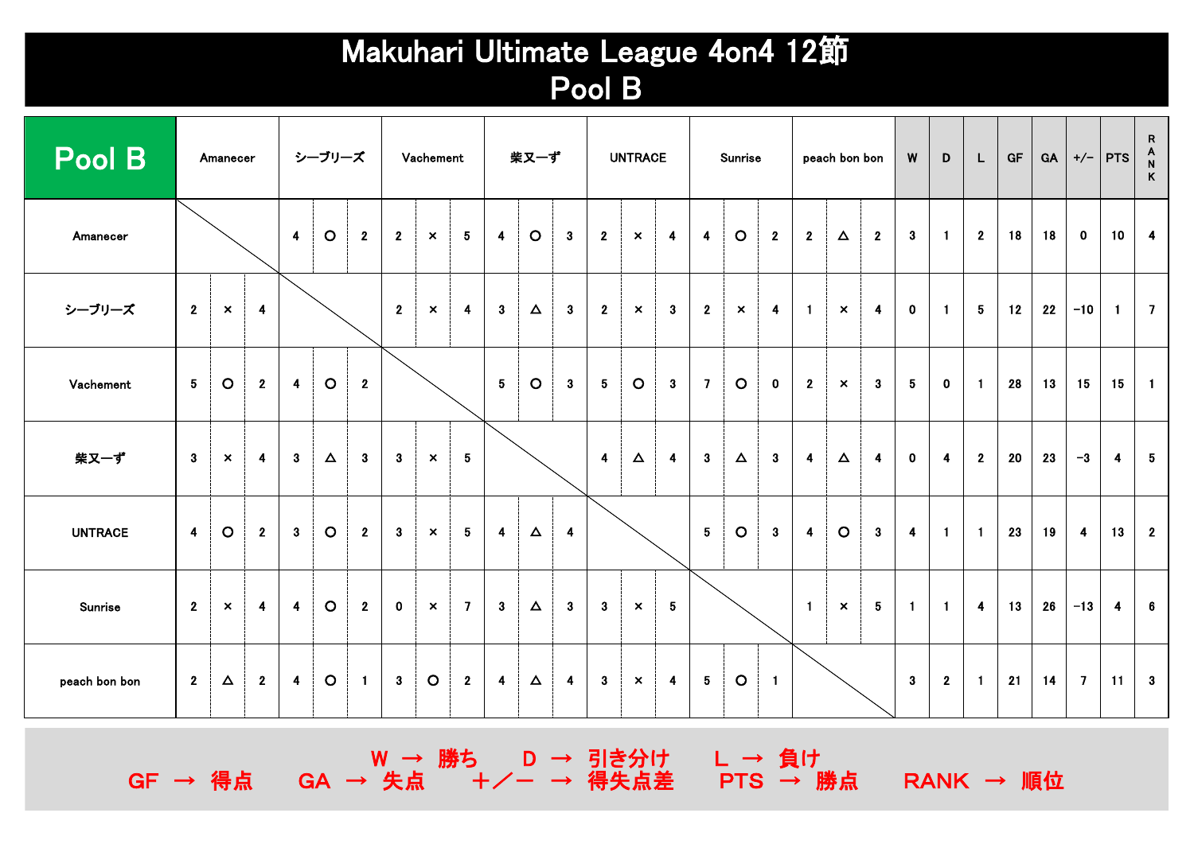## Makuhari Ultimate League 4on4 12節 Pool B

| Pool B         |                         | Amanecer                  |                         |                         | シーブリーズ   |                |                | Vachement                 |                 |                         | 柴又一ず     |                         |                         | <b>UNTRACE</b>            |                         |                         | Sunrise      |                         |                         | peach bon bon             |                         | W                       | D              | L              | <b>GF</b> | GA | $+/-$                   | $PTS$ $\begin{array}{c} A \\ N \end{array}$ | R<br>$\mathsf{K}$       |
|----------------|-------------------------|---------------------------|-------------------------|-------------------------|----------|----------------|----------------|---------------------------|-----------------|-------------------------|----------|-------------------------|-------------------------|---------------------------|-------------------------|-------------------------|--------------|-------------------------|-------------------------|---------------------------|-------------------------|-------------------------|----------------|----------------|-----------|----|-------------------------|---------------------------------------------|-------------------------|
| Amanecer       |                         |                           |                         | $\overline{\mathbf{4}}$ | $\circ$  | 2 <sup>1</sup> | $\overline{2}$ | $\boldsymbol{\times}$     | $5\phantom{.0}$ | $\overline{\mathbf{4}}$ | $\circ$  | $\mathbf{3}$            | $\overline{2}$          | $\boldsymbol{\mathsf{x}}$ | $\overline{\mathbf{4}}$ | $\overline{\mathbf{4}}$ | $\circ$      | $\mathbf{2}$            | $\overline{2}$          | $\Delta$                  | $\overline{2}$          | 3 <sup>1</sup>          | $\mathbf{1}$   | $\overline{2}$ | 18        | 18 | $\mathbf{0}$            | 10                                          | $\overline{4}$          |
| シーブリーズ         | $\overline{2}$          | $\boldsymbol{\mathsf{x}}$ | $\overline{\mathbf{4}}$ |                         |          |                | $\overline{2}$ | $\boldsymbol{\mathsf{x}}$ | 4               | $3\phantom{a}$          | $\Delta$ | 3                       | $\mathbf{2}$            | $\mathsf{x}$              | $\mathbf{3}$            | $\mathbf{2}$            | $\mathsf{x}$ | $\overline{\mathbf{4}}$ | $\blacksquare$          | $\boldsymbol{\mathsf{x}}$ | $\overline{\mathbf{4}}$ | $\mathbf 0$             | $\blacksquare$ | $5^{\circ}$    | 12        | 22 | $-10$                   | $\blacksquare$                              | $\overline{7}$          |
| Vachement      | $\overline{\mathbf{5}}$ | $\circ$                   | $\mathbf{2}$            | 4                       | $\circ$  | $\mathbf{2}$   |                |                           |                 | $5\phantom{.0}$         | $\circ$  | $\mathbf{3}$            | 5                       | $\circ$                   | $\mathbf{3}$            | $\overline{7}$          | $\circ$      | $\mathbf 0$             | $\overline{2}$          | $\boldsymbol{\mathsf{x}}$ | $\mathbf{3}$            | 5                       | $\mathbf 0$    | $\blacksquare$ | 28        | 13 | 15                      | 15                                          | $\blacksquare$          |
| 柴又一ず           | 3 <sup>1</sup>          | $\mathsf{x}$              | $\overline{\mathbf{4}}$ | $\mathbf{3}$            | $\Delta$ | 3 <sup>1</sup> | 3              | $\boldsymbol{\mathsf{x}}$ | 5 <sub>1</sub>  |                         |          |                         | $\overline{\mathbf{4}}$ | $\boldsymbol{\Delta}$     | $\overline{\mathbf{4}}$ | $\mathbf{3}$            | $\Delta$     | 3 <sup>1</sup>          | $\overline{\mathbf{4}}$ | $\Delta$                  | 4                       | $\mathbf 0$             | 4              | $\overline{2}$ | 20        | 23 | $-3$                    | 4                                           | $5\phantom{.0}$         |
| <b>UNTRACE</b> | $\overline{4}$          | $\circ$                   | $\mathbf{2}$            | 3                       | $\circ$  | $\mathbf{2}$   | $\mathbf{3}$   | $\boldsymbol{\mathsf{x}}$ | 5 <sub>1</sub>  | $\overline{\mathbf{4}}$ | $\Delta$ | $\overline{\mathbf{4}}$ |                         |                           |                         | 5 <sub>5</sub>          | $\circ$      | 3 <sup>1</sup>          | $\overline{\mathbf{4}}$ | $\circ$                   | 3                       | $\overline{\mathbf{4}}$ | $\blacksquare$ | $\blacksquare$ | 23        | 19 | $\overline{\mathbf{4}}$ | 13                                          | $\overline{\mathbf{2}}$ |
| Sunrise        | $\overline{2}$          | $\boldsymbol{\mathsf{x}}$ | $\overline{\mathbf{4}}$ | $\overline{\mathbf{4}}$ | $\circ$  | $\mathbf{2}$   | $\mathbf{0}$   | $\boldsymbol{\mathsf{x}}$ | $\mathbf{7}$    | 3 <sup>1</sup>          | $\Delta$ | $\mathbf{3}$            | 3 <sup>1</sup>          | $\mathsf{x}$              | $5\phantom{.0}$         |                         |              |                         | $\blacksquare$          | $\boldsymbol{\mathsf{x}}$ | 5 <sup>5</sup>          | $\blacksquare$          | $\blacksquare$ | $\overline{4}$ | 13        | 26 | $-13$                   | 4                                           | $6\phantom{.}6$         |
| peach bon bon  | $\overline{2}$          | $\Delta$                  | $\mathbf{2}$            | $\blacktriangleleft$    | $\circ$  | $\blacksquare$ | 3 <sup>1</sup> | $\circ$                   | $2^{\circ}$     | $\overline{\mathbf{4}}$ | $\Delta$ | $\overline{\mathbf{4}}$ | $\mathbf{3}$            | $\mathsf{x}$              | $\blacktriangleleft$    | $5\phantom{.0}$         | $\circ$      | $\blacksquare$          |                         |                           |                         | 3 <sup>1</sup>          | $\overline{2}$ | $\blacksquare$ | 21        | 14 | $\overline{7}$          | 11                                          | $\overline{\mathbf{3}}$ |

W → 勝ち D → 引き分け L → 負け GF → 得点 GA → 失点 +/- → 得失点差 PTS → 勝点 RANK → 順位